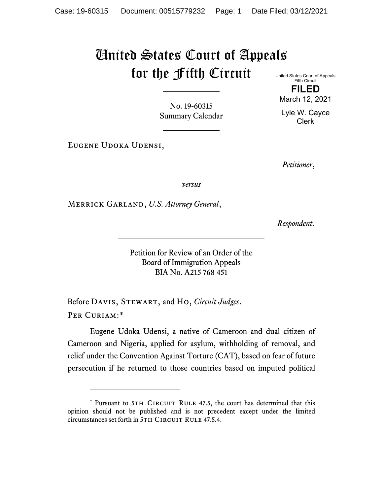# United States Court of Appeals for the Fifth Circuit

No. 19-60315 Summary Calendar

Eugene Udoka Udensi,

United States Court of Appeals Fifth Circuit

**FILED** March 12, 2021

Lyle W. Cayce Clerk

*Petitioner*,

*versus*

Merrick Garland, *U.S. Attorney General*,

*Respondent*.

Petition for Review of an Order of the Board of Immigration Appeals BIA No. A215 768 451

Before Davis, Stewart, and Ho, *Circuit Judges*. Per Curiam:[\\*](#page-0-0)

Eugene Udoka Udensi, a native of Cameroon and dual citizen of Cameroon and Nigeria, applied for asylum, withholding of removal, and relief under the Convention Against Torture (CAT), based on fear of future persecution if he returned to those countries based on imputed political

<span id="page-0-0"></span><sup>\*</sup> Pursuant to 5TH CIRCUIT RULE 47.5, the court has determined that this opinion should not be published and is not precedent except under the limited circumstances set forth in 5TH CIRCUIT RULE 47.5.4.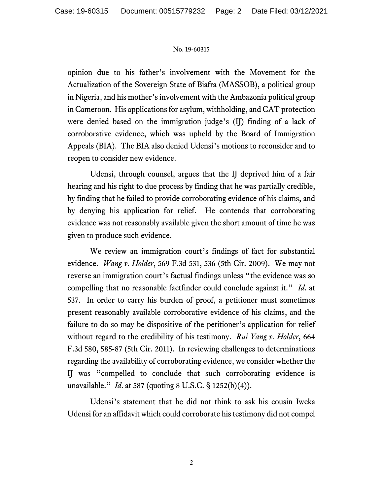opinion due to his father's involvement with the Movement for the Actualization of the Sovereign State of Biafra (MASSOB), a political group in Nigeria, and his mother's involvement with the Ambazonia political group in Cameroon. His applications for asylum, withholding, and CAT protection were denied based on the immigration judge's (IJ) finding of a lack of corroborative evidence, which was upheld by the Board of Immigration Appeals (BIA). The BIA also denied Udensi's motions to reconsider and to reopen to consider new evidence.

Udensi, through counsel, argues that the IJ deprived him of a fair hearing and his right to due process by finding that he was partially credible, by finding that he failed to provide corroborating evidence of his claims, and by denying his application for relief. He contends that corroborating evidence was not reasonably available given the short amount of time he was given to produce such evidence.

We review an immigration court's findings of fact for substantial evidence. *Wang v. Holder*, 569 F.3d 531, 536 (5th Cir. 2009). We may not reverse an immigration court's factual findings unless "the evidence was so compelling that no reasonable factfinder could conclude against it." *Id*. at 537. In order to carry his burden of proof, a petitioner must sometimes present reasonably available corroborative evidence of his claims, and the failure to do so may be dispositive of the petitioner's application for relief without regard to the credibility of his testimony. *Rui Yang v. Holder*, 664 F.3d 580, 585-87 (5th Cir. 2011). In reviewing challenges to determinations regarding the availability of corroborating evidence, we consider whether the IJ was "compelled to conclude that such corroborating evidence is unavailable." *Id*. at 587 (quoting 8 U.S.C. § 1252(b)(4)).

Udensi's statement that he did not think to ask his cousin Iweka Udensi for an affidavit which could corroborate his testimony did not compel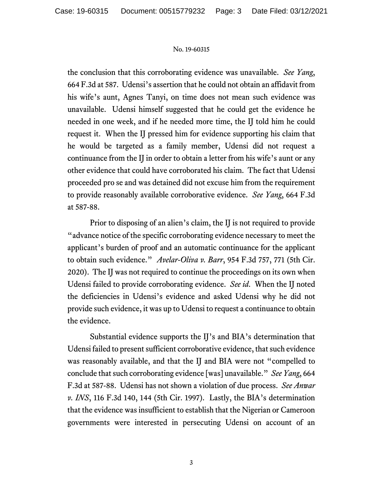the conclusion that this corroborating evidence was unavailable. *See Yang*, 664 F.3d at 587. Udensi's assertion that he could not obtain an affidavit from his wife's aunt, Agnes Tanyi, on time does not mean such evidence was unavailable. Udensi himself suggested that he could get the evidence he needed in one week, and if he needed more time, the IJ told him he could request it. When the IJ pressed him for evidence supporting his claim that he would be targeted as a family member, Udensi did not request a continuance from the IJ in order to obtain a letter from his wife's aunt or any other evidence that could have corroborated his claim. The fact that Udensi proceeded pro se and was detained did not excuse him from the requirement to provide reasonably available corroborative evidence. *See Yang*, 664 F.3d at 587-88.

Prior to disposing of an alien's claim, the IJ is not required to provide "advance notice of the specific corroborating evidence necessary to meet the applicant's burden of proof and an automatic continuance for the applicant to obtain such evidence." *Avelar-Oliva v. Barr*, 954 F.3d 757, 771 (5th Cir. 2020). The IJ was not required to continue the proceedings on its own when Udensi failed to provide corroborating evidence. *See id*. When the IJ noted the deficiencies in Udensi's evidence and asked Udensi why he did not provide such evidence, it was up to Udensi to request a continuance to obtain the evidence.

Substantial evidence supports the IJ's and BIA's determination that Udensi failed to present sufficient corroborative evidence, that such evidence was reasonably available, and that the IJ and BIA were not "compelled to conclude that such corroborating evidence [was] unavailable." *See Yang*, 664 F.3d at 587-88. Udensi has not shown a violation of due process. *See Anwar v. INS*, 116 F.3d 140, 144 (5th Cir. 1997). Lastly, the BIA's determination that the evidence was insufficient to establish that the Nigerian or Cameroon governments were interested in persecuting Udensi on account of an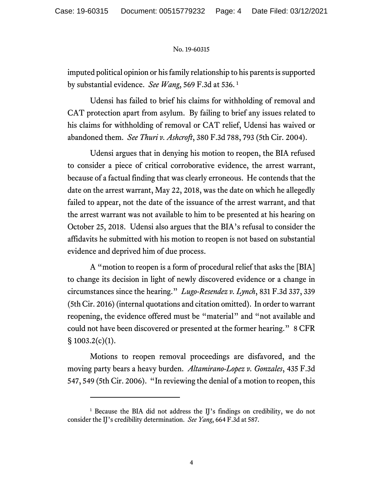imputed political opinion or his family relationship to his parents is supported by substantial evidence. *See Wang*, 569 F.3d at 536. [1](#page-3-0)

Udensi has failed to brief his claims for withholding of removal and CAT protection apart from asylum. By failing to brief any issues related to his claims for withholding of removal or CAT relief, Udensi has waived or abandoned them. *See Thuri v. Ashcroft*, 380 F.3d 788, 793 (5th Cir. 2004).

Udensi argues that in denying his motion to reopen, the BIA refused to consider a piece of critical corroborative evidence, the arrest warrant, because of a factual finding that was clearly erroneous. He contends that the date on the arrest warrant, May 22, 2018, was the date on which he allegedly failed to appear, not the date of the issuance of the arrest warrant, and that the arrest warrant was not available to him to be presented at his hearing on October 25, 2018. Udensi also argues that the BIA's refusal to consider the affidavits he submitted with his motion to reopen is not based on substantial evidence and deprived him of due process.

A "motion to reopen is a form of procedural relief that asks the [BIA] to change its decision in light of newly discovered evidence or a change in circumstances since the hearing." *Lugo-Resendez v. Lynch*, 831 F.3d 337, 339 (5th Cir. 2016) (internal quotations and citation omitted). In order to warrant reopening, the evidence offered must be "material" and "not available and could not have been discovered or presented at the former hearing." 8 CFR  $§ 1003.2(c)(1).$ 

Motions to reopen removal proceedings are disfavored, and the moving party bears a heavy burden. *Altamirano-Lopez v. Gonzales*, 435 F.3d 547, 549 (5th Cir. 2006). "In reviewing the denial of a motion to reopen, this

<span id="page-3-0"></span><sup>&</sup>lt;sup>1</sup> Because the BIA did not address the IJ's findings on credibility, we do not consider the IJ's credibility determination. *See Yang*, 664 F.3d at 587.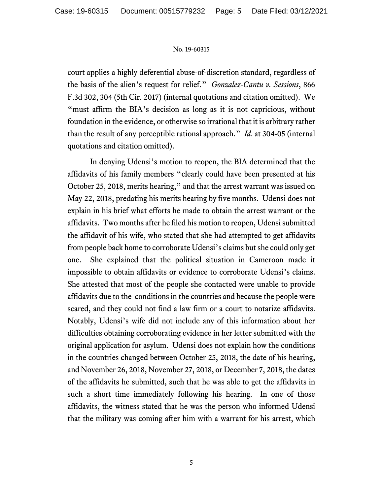court applies a highly deferential abuse-of-discretion standard, regardless of the basis of the alien's request for relief." *Gonzalez-Cantu v. Sessions*, 866 F.3d 302, 304 (5th Cir. 2017) (internal quotations and citation omitted). We "must affirm the BIA's decision as long as it is not capricious, without foundation in the evidence, or otherwise so irrational that it is arbitrary rather than the result of any perceptible rational approach." *Id*. at 304-05 (internal quotations and citation omitted).

In denying Udensi's motion to reopen, the BIA determined that the affidavits of his family members "clearly could have been presented at his October 25, 2018, merits hearing," and that the arrest warrant was issued on May 22, 2018, predating his merits hearing by five months. Udensi does not explain in his brief what efforts he made to obtain the arrest warrant or the affidavits. Two months after he filed his motion to reopen, Udensi submitted the affidavit of his wife, who stated that she had attempted to get affidavits from people back home to corroborate Udensi's claims but she could only get one. She explained that the political situation in Cameroon made it impossible to obtain affidavits or evidence to corroborate Udensi's claims. She attested that most of the people she contacted were unable to provide affidavits due to the conditions in the countries and because the people were scared, and they could not find a law firm or a court to notarize affidavits. Notably, Udensi's wife did not include any of this information about her difficulties obtaining corroborating evidence in her letter submitted with the original application for asylum. Udensi does not explain how the conditions in the countries changed between October 25, 2018, the date of his hearing, and November 26, 2018, November 27, 2018, or December 7, 2018, the dates of the affidavits he submitted, such that he was able to get the affidavits in such a short time immediately following his hearing. In one of those affidavits, the witness stated that he was the person who informed Udensi that the military was coming after him with a warrant for his arrest, which